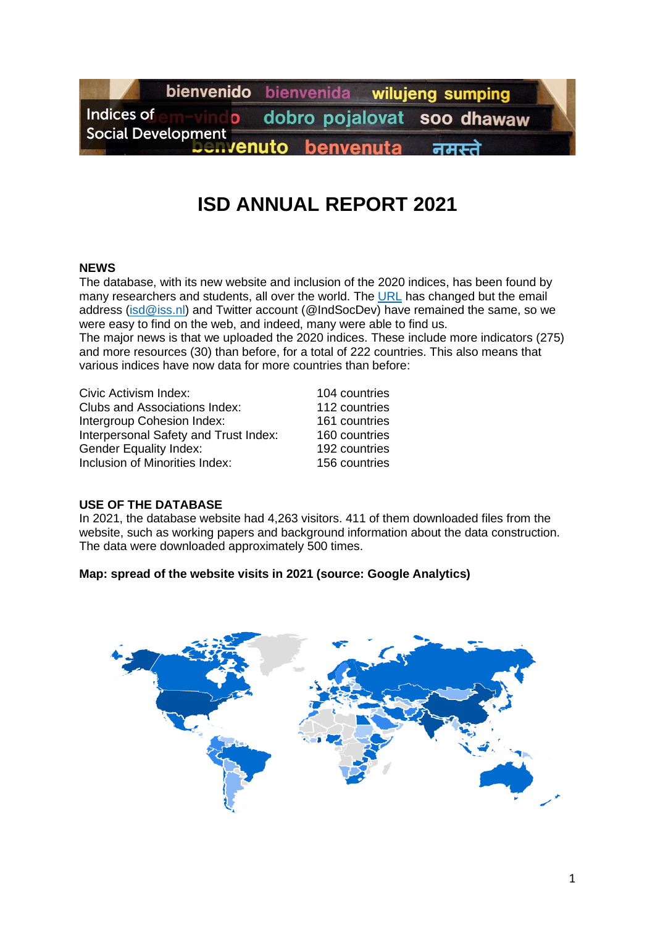

# **ISD ANNUAL REPORT 2021**

#### **NEWS**

The database, with its new website and inclusion of the 2020 indices, has been found by manv researchers and students, all over the world. The [URL](https://isd.iss.nl/) has changed but the email address [\(isd@iss.nl\)](mailto:isd@iss.nl) and Twitter account (@IndSocDev) have remained the same, so we were easy to find on the web, and indeed, many were able to find us. The major news is that we uploaded the 2020 indices. These include more indicators (275) and more resources (30) than before, for a total of 222 countries. This also means that various indices have now data for more countries than before:

Civic Activism Index: 104 countries Clubs and Associations Index: 112 countries Intergroup Cohesion Index: 161 countries Interpersonal Safety and Trust Index: 160 countries Gender Equality Index: 192 countries Inclusion of Minorities Index: 156 countries

#### **USE OF THE DATABASE**

In 2021, the database website had 4,263 visitors. 411 of them downloaded files from the website, such as working papers and background information about the data construction. The data were downloaded approximately 500 times.

#### **Map: spread of the website visits in 2021 (source: Google Analytics)**

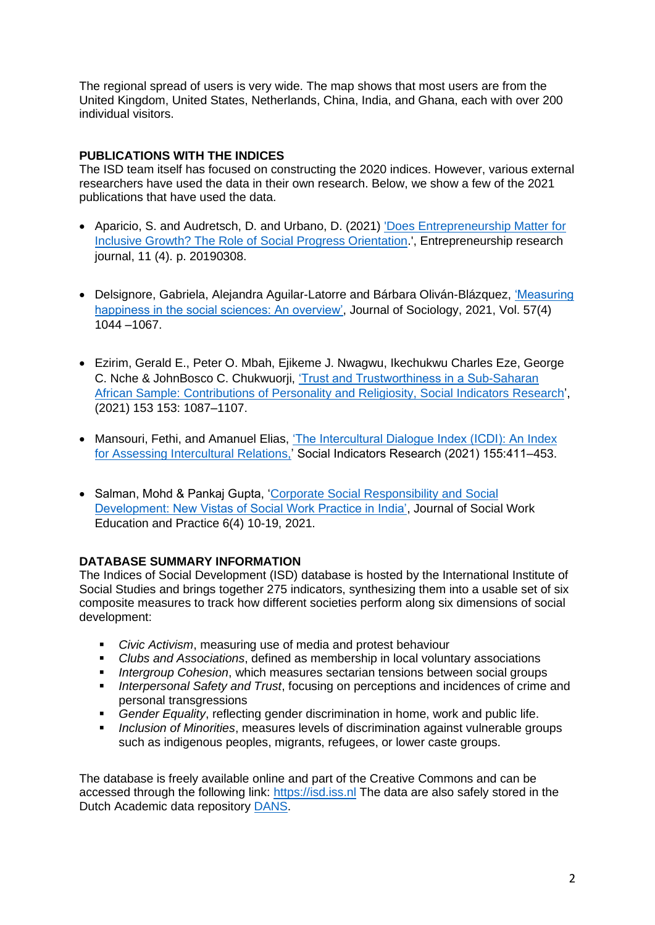The regional spread of users is very wide. The map shows that most users are from the United Kingdom, United States, Netherlands, China, India, and Ghana, each with over 200 individual visitors.

### **PUBLICATIONS WITH THE INDICES**

The ISD team itself has focused on constructing the 2020 indices. However, various external researchers have used the data in their own research. Below, we show a few of the 2021 publications that have used the data.

- Aparicio, S. and Audretsch, D. and Urbano, D. (2021) ['Does Entrepreneurship Matter for](https://dro.dur.ac.uk/30269/1/30269.pdf?DDD2+cwxv81)  [Inclusive Growth? The Role of Social Progress Orientation.](https://dro.dur.ac.uk/30269/1/30269.pdf?DDD2+cwxv81)', Entrepreneurship research journal, 11 (4). p. 20190308.
- Delsignore, Gabriela, Alejandra Aguilar-Latorre and Bárbara Oliván-Blázquez, ['Measuring](https://journals.sagepub.com/doi/pdf/10.1177/1440783321991655)  [happiness in the social sciences: An overview',](https://journals.sagepub.com/doi/pdf/10.1177/1440783321991655) Journal of Sociology, 2021, Vol. 57(4) 1044 –1067.
- Ezirim, Gerald E., Peter O. Mbah, Ejikeme J. Nwagwu, Ikechukwu Charles Eze, George C. Nche & JohnBosco C. Chukwuorji, ['Trust and Trustworthiness in a Sub-Saharan](https://link.springer.com/article/10.1007/s11205-020-02536-z)  [African Sample: Contributions of Personality and Religiosity, Social Indicators Research'](https://link.springer.com/article/10.1007/s11205-020-02536-z), (2021) 153 153: 1087–1107.
- Mansouri, Fethi, and Amanuel Elias, ['The Intercultural Dialogue Index \(ICDI\): An](https://link.springer.com/content/pdf/10.1007/s11205-021-02616-8.pdf) Index for [Assessing Intercultural Relations,'](https://link.springer.com/content/pdf/10.1007/s11205-021-02616-8.pdf) Social Indicators Research (2021) 155:411–453.
- Salman, Mohd & Pankaj Gupta, ['Corporate Social Responsibility and Social](https://www.jswep.in/uploads/3/1/7/2/31729069/060402_corporate_social_responsibility_social_development_and_social_work.pdf)  [Development: New Vistas of Social Work Practice in India',](https://www.jswep.in/uploads/3/1/7/2/31729069/060402_corporate_social_responsibility_social_development_and_social_work.pdf) Journal of Social Work Education and Practice 6(4) 10-19, 2021.

## **DATABASE SUMMARY INFORMATION**

The Indices of Social Development (ISD) database is hosted by the International Institute of Social Studies and brings together 275 indicators, synthesizing them into a usable set of six composite measures to track how different societies perform along six dimensions of social development:

- *Civic Activism*, measuring use of media and protest behaviour
- *Clubs and Associations*, defined as membership in local voluntary associations
- *Intergroup Cohesion*, which measures sectarian tensions between social groups
- *Interpersonal Safety and Trust*, focusing on perceptions and incidences of crime and personal transgressions
- **Gender Equality, reflecting gender discrimination in home, work and public life.**
- *Inclusion of Minorities*, measures levels of discrimination against vulnerable groups such as indigenous peoples, migrants, refugees, or lower caste groups.

The database is freely available online and part of the Creative Commons and can be accessed through the following link: [https://isd.iss.nl](https://isd.iss.nl/) The data are also safely stored in the Dutch Academic data repository [DANS.](https://dans.knaw.nl/en)